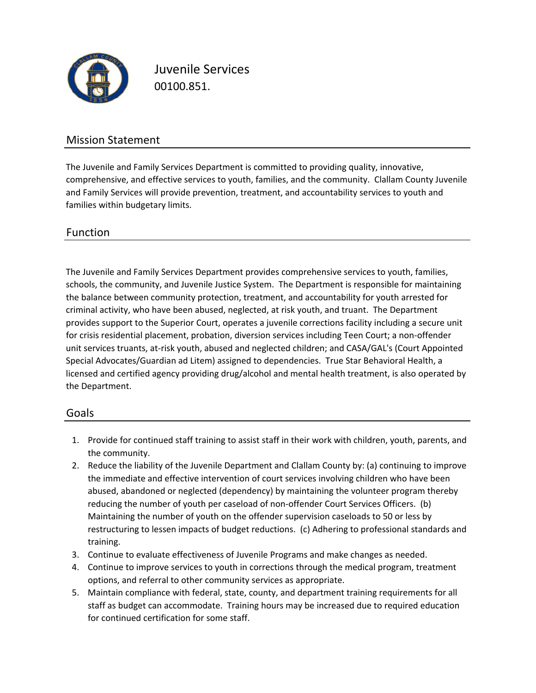

Juvenile Services 00100.851.

### Mission Statement

The Juvenile and Family Services Department is committed to providing quality, innovative, comprehensive, and effective services to youth, families, and the community. Clallam County Juvenile and Family Services will provide prevention, treatment, and accountability services to youth and families within budgetary limits.

### Function

The Juvenile and Family Services Department provides comprehensive services to youth, families, schools, the community, and Juvenile Justice System. The Department is responsible for maintaining the balance between community protection, treatment, and accountability for youth arrested for criminal activity, who have been abused, neglected, at risk youth, and truant. The Department provides support to the Superior Court, operates a juvenile corrections facility including a secure unit for crisis residential placement, probation, diversion services including Teen Court; a non‐offender unit services truants, at‐risk youth, abused and neglected children; and CASA/GAL's (Court Appointed Special Advocates/Guardian ad Litem) assigned to dependencies. True Star Behavioral Health, a licensed and certified agency providing drug/alcohol and mental health treatment, is also operated by the Department.

#### Goals

- 1. Provide for continued staff training to assist staff in their work with children, youth, parents, and the community.
- 2. Reduce the liability of the Juvenile Department and Clallam County by: (a) continuing to improve the immediate and effective intervention of court services involving children who have been abused, abandoned or neglected (dependency) by maintaining the volunteer program thereby reducing the number of youth per caseload of non‐offender Court Services Officers. (b) Maintaining the number of youth on the offender supervision caseloads to 50 or less by restructuring to lessen impacts of budget reductions. (c) Adhering to professional standards and training.
- 3. Continue to evaluate effectiveness of Juvenile Programs and make changes as needed.
- 4. Continue to improve services to youth in corrections through the medical program, treatment options, and referral to other community services as appropriate.
- 5. Maintain compliance with federal, state, county, and department training requirements for all staff as budget can accommodate. Training hours may be increased due to required education for continued certification for some staff.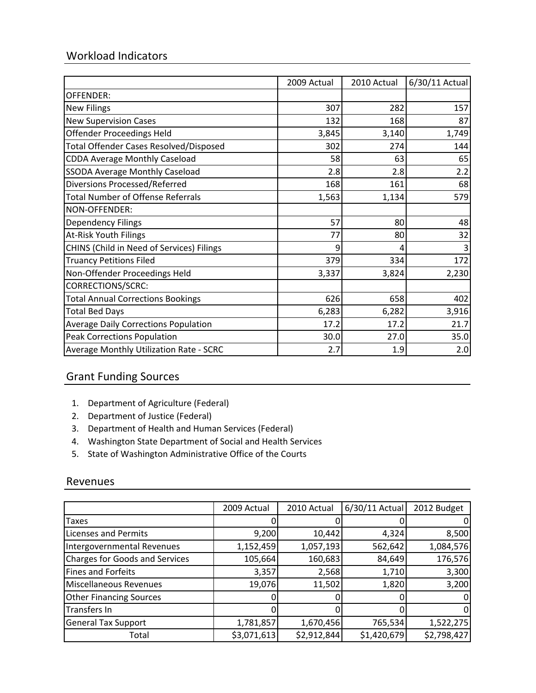## Workload Indicators

|                                               | 2009 Actual | 2010 Actual | 6/30/11 Actual |
|-----------------------------------------------|-------------|-------------|----------------|
| OFFENDER:                                     |             |             |                |
| <b>New Filings</b>                            | 307         | 282         | 157            |
| <b>New Supervision Cases</b>                  | 132         | 168         | 87             |
| <b>Offender Proceedings Held</b>              | 3,845       | 3,140       | 1,749          |
| <b>Total Offender Cases Resolved/Disposed</b> | 302         | 274         | 144            |
| <b>CDDA Average Monthly Caseload</b>          | 58          | 63          | 65             |
| <b>SSODA Average Monthly Caseload</b>         | 2.8         | 2.8         | 2.2            |
| <b>Diversions Processed/Referred</b>          | 168         | 161         | 68             |
| <b>Total Number of Offense Referrals</b>      | 1,563       | 1,134       | 579            |
| NON-OFFENDER:                                 |             |             |                |
| <b>Dependency Filings</b>                     | 57          | 80          | 48             |
| <b>At-Risk Youth Filings</b>                  | 77          | 80          | 32             |
| CHINS (Child in Need of Services) Filings     | 9           | 4           |                |
| <b>Truancy Petitions Filed</b>                | 379         | 334         | 172            |
| Non-Offender Proceedings Held                 | 3,337       | 3,824       | 2,230          |
| <b>CORRECTIONS/SCRC:</b>                      |             |             |                |
| <b>Total Annual Corrections Bookings</b>      | 626         | 658         | 402            |
| <b>Total Bed Days</b>                         | 6,283       | 6,282       | 3,916          |
| <b>Average Daily Corrections Population</b>   | 17.2        | 17.2        | 21.7           |
| <b>Peak Corrections Population</b>            | 30.0        | 27.0        | 35.0           |
| Average Monthly Utilization Rate - SCRC       | 2.7         | 1.9         | 2.0            |

## Grant Funding Sources

- 1. Department of Agriculture (Federal)
- 2. Department of Justice (Federal)
- 3. Department of Health and Human Services (Federal)
- 4. Washington State Department of Social and Health Services
- 5. State of Washington Administrative Office of the Courts

#### Revenues

|                                       | 2009 Actual | 2010 Actual | $6/30/11$ Actual | 2012 Budget |
|---------------------------------------|-------------|-------------|------------------|-------------|
| Taxes                                 |             |             |                  |             |
| <b>Licenses and Permits</b>           | 9,200       | 10,442      | 4,324            | 8,500       |
| Intergovernmental Revenues            | 1,152,459   | 1,057,193   | 562,642          | 1,084,576   |
| <b>Charges for Goods and Services</b> | 105,664     | 160,683     | 84,649           | 176,576     |
| <b>Fines and Forfeits</b>             | 3,357       | 2,568       | 1,710            | 3,300       |
| Miscellaneous Revenues                | 19,076      | 11,502      | 1,820            | 3,200       |
| <b>Other Financing Sources</b>        |             |             |                  |             |
| Transfers In                          |             |             |                  | 0           |
| <b>General Tax Support</b>            | 1,781,857   | 1,670,456   | 765,534          | 1,522,275   |
| Total                                 | \$3,071,613 | \$2,912,844 | \$1,420,679      | \$2,798,427 |